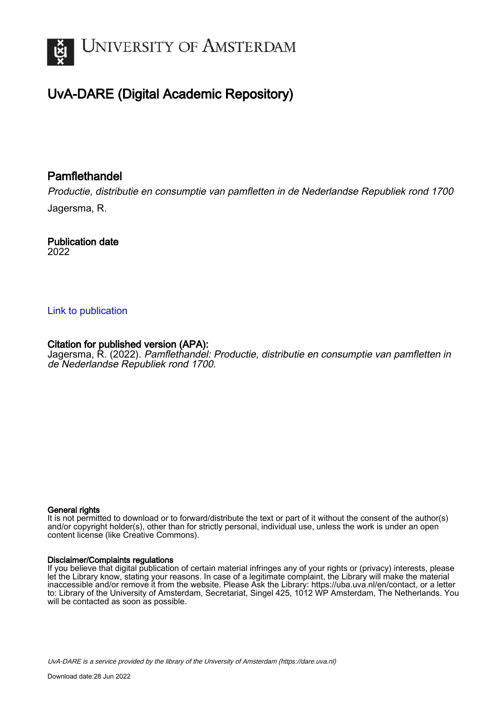

# UvA-DARE (Digital Academic Repository)

## **Pamflethandel**

Productie, distributie en consumptie van pamfletten in de Nederlandse Republiek rond 1700 Jagersma, R.

Publication date 2022

### [Link to publication](https://dare.uva.nl/personal/pure/en/publications/pamflethandel(d967501e-f981-4e05-bf18-4db61ad7a76e).html)

## Citation for published version (APA):

Jagersma, R. (2022). Pamflethandel: Productie, distributie en consumptie van pamfletten in de Nederlandse Republiek rond 1700.

#### General rights

It is not permitted to download or to forward/distribute the text or part of it without the consent of the author(s) and/or copyright holder(s), other than for strictly personal, individual use, unless the work is under an open content license (like Creative Commons).

#### Disclaimer/Complaints regulations

If you believe that digital publication of certain material infringes any of your rights or (privacy) interests, please let the Library know, stating your reasons. In case of a legitimate complaint, the Library will make the material inaccessible and/or remove it from the website. Please Ask the Library: https://uba.uva.nl/en/contact, or a letter to: Library of the University of Amsterdam, Secretariat, Singel 425, 1012 WP Amsterdam, The Netherlands. You will be contacted as soon as possible.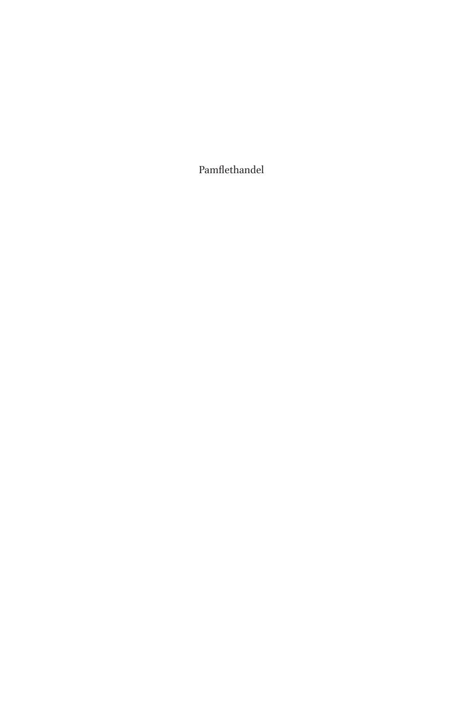Pamflethandel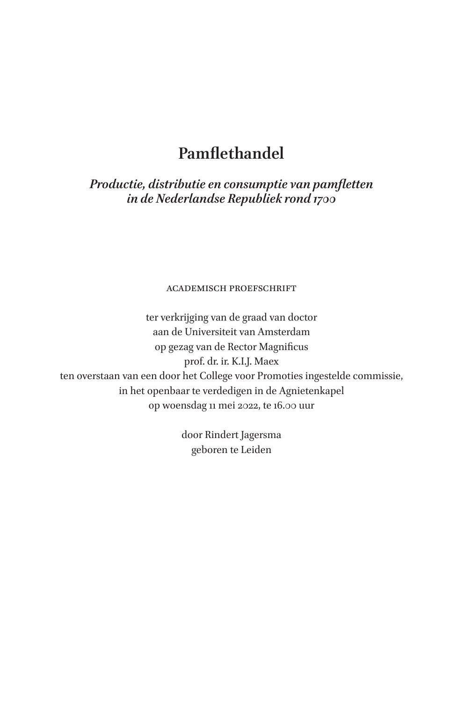## **Pamflethandel**

*Productie, distributie en consumptie van pamfletten in de Nederlandse Republiek rond 1700*

academisch proefschrift

ter verkrijging van de graad van doctor aan de Universiteit van Amsterdam op gezag van de Rector Magnificus prof. dr. ir. K.I.J. Maex ten overstaan van een door het College voor Promoties ingestelde commissie, in het openbaar te verdedigen in de Agnietenkapel op woensdag 11 mei 2022, te 16.00 uur

> door Rindert Jagersma geboren te Leiden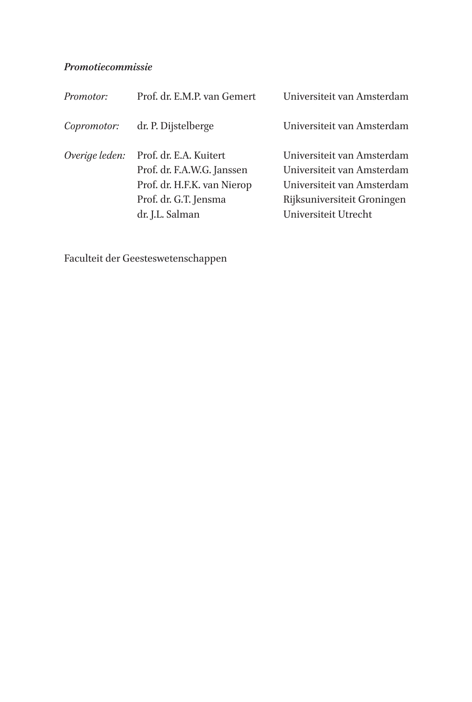### *Promotiecommissie*

| Prof. dr. E.M.P. van Gemert                                                                                                     | Universiteit van Amsterdam                                                                                                                    |
|---------------------------------------------------------------------------------------------------------------------------------|-----------------------------------------------------------------------------------------------------------------------------------------------|
| dr. P. Dijstelberge                                                                                                             | Universiteit van Amsterdam                                                                                                                    |
| Prof. dr. E.A. Kuitert<br>Prof. dr. F.A.W.G. Janssen<br>Prof. dr. H.F.K. van Nierop<br>Prof. dr. G.T. Jensma<br>dr. J.L. Salman | Universiteit van Amsterdam<br>Universiteit van Amsterdam<br>Universiteit van Amsterdam<br>Rijksuniversiteit Groningen<br>Universiteit Utrecht |
|                                                                                                                                 |                                                                                                                                               |

Faculteit der Geesteswetenschappen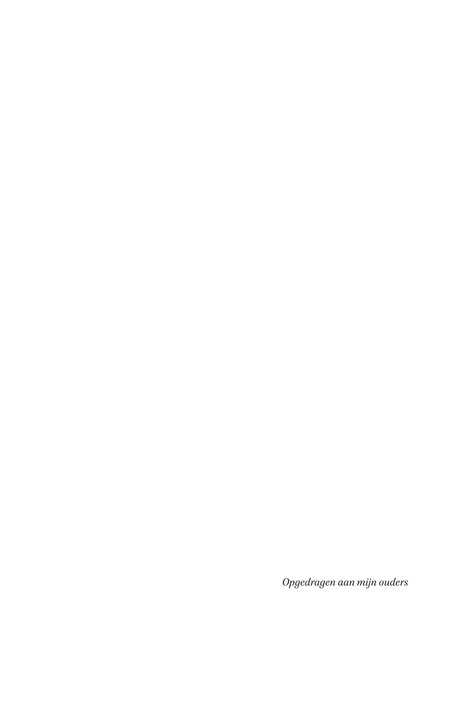*Opgedragen aan mijn ouders*